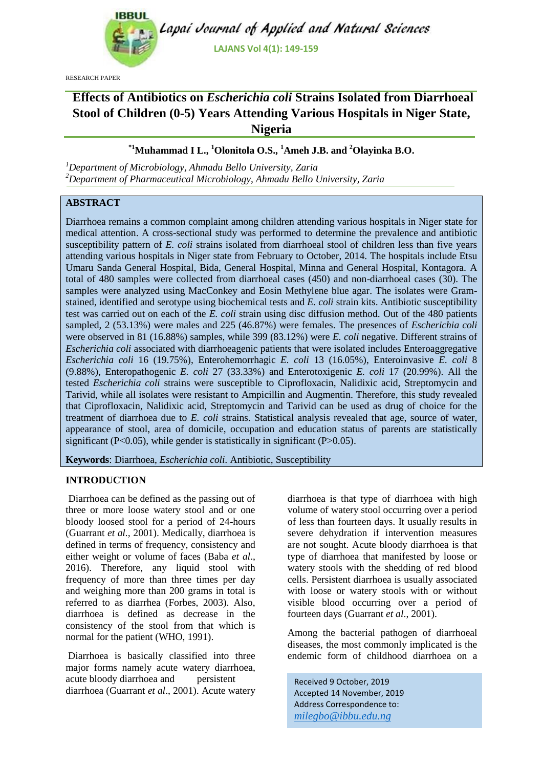

Lapai Journal of Applied and Natural Sciences

**LAJANS Vol 4(1): 149-159**

RESEARCH PAPER

# **Effects of Antibiotics on** *Escherichia coli* **Strains Isolated from Diarrhoeal Stool of Children (0-5) Years Attending Various Hospitals in Niger State, Nigeria**

## **\*1Muhammad I L., <sup>1</sup>Olonitola O.S., <sup>1</sup>Ameh J.B. and <sup>2</sup>Olayinka B.O.**

*<sup>1</sup>Department of Microbiology, Ahmadu Bello University, Zaria <sup>2</sup>Department of Pharmaceutical Microbiology, Ahmadu Bello University, Zaria*

## **ABSTRACT**

Diarrhoea remains a common complaint among children attending various hospitals in Niger state for medical attention. A cross-sectional study was performed to determine the prevalence and antibiotic susceptibility pattern of *E. coli* strains isolated from diarrhoeal stool of children less than five years attending various hospitals in Niger state from February to October, 2014. The hospitals include Etsu Umaru Sanda General Hospital, Bida, General Hospital, Minna and General Hospital, Kontagora. A total of 480 samples were collected from diarrhoeal cases (450) and non-diarrhoeal cases (30). The samples were analyzed using MacConkey and Eosin Methylene blue agar. The isolates were Gramstained, identified and serotype using biochemical tests and *E. coli* strain kits. Antibiotic susceptibility test was carried out on each of the *E. coli* strain using disc diffusion method. Out of the 480 patients sampled, 2 (53.13%) were males and 225 (46.87%) were females. The presences of *Escherichia coli* were observed in 81 (16.88%) samples, while 399 (83.12%) were *E. coli* negative. Different strains of *Escherichia coli* associated with diarrhoeagenic patients that were isolated includes Enteroaggregative *Escherichia coli* 16 (19.75%), Enterohemorrhagic *E. coli* 13 (16.05%), Enteroinvasive *E. coli* 8 (9.88%), Enteropathogenic *E. coli* 27 (33.33%) and Enterotoxigenic *E. coli* 17 (20.99%). All the tested *Escherichia coli* strains were susceptible to Ciprofloxacin, Nalidixic acid, Streptomycin and Tarivid, while all isolates were resistant to Ampicillin and Augmentin. Therefore, this study revealed that Ciprofloxacin, Nalidixic acid, Streptomycin and Tarivid can be used as drug of choice for the treatment of diarrhoea due to *E. coli* strains. Statistical analysis revealed that age, source of water, appearance of stool, area of domicile, occupation and education status of parents are statistically significant ( $P<0.05$ ), while gender is statistically in significant ( $P>0.05$ ).

**Keywords**: Diarrhoea, *Escherichia coli.* Antibiotic, Susceptibility

### **INTRODUCTION**

Diarrhoea can be defined as the passing out of three or more loose watery stool and or one bloody loosed stool for a period of 24-hours (Guarrant *et al.,* 2001). Medically, diarrhoea is defined in terms of frequency, consistency and either weight or volume of faces (Baba *et al*., 2016). Therefore, any liquid stool with frequency of more than three times per day and weighing more than 200 grams in total is referred to as diarrhea (Forbes, 2003). Also, diarrhoea is defined as decrease in the consistency of the stool from that which is normal for the patient (WHO, 1991).

Diarrhoea is basically classified into three major forms namely acute watery diarrhoea, acute bloody diarrhoea and persistent diarrhoea (Guarrant *et al*., 2001). Acute watery diarrhoea is that type of diarrhoea with high volume of watery stool occurring over a period of less than fourteen days. It usually results in severe dehydration if intervention measures are not sought. Acute bloody diarrhoea is that type of diarrhoea that manifested by loose or watery stools with the shedding of red blood cells. Persistent diarrhoea is usually associated with loose or watery stools with or without visible blood occurring over a period of fourteen days (Guarrant *et al*., 2001).

Among the bacterial pathogen of diarrhoeal diseases, the most commonly implicated is the endemic form of childhood diarrhoea on a

Received 9 October, 2019 Accepted 14 November, 2019 Address Correspondence to: *milegbo@ibbu.edu.ng*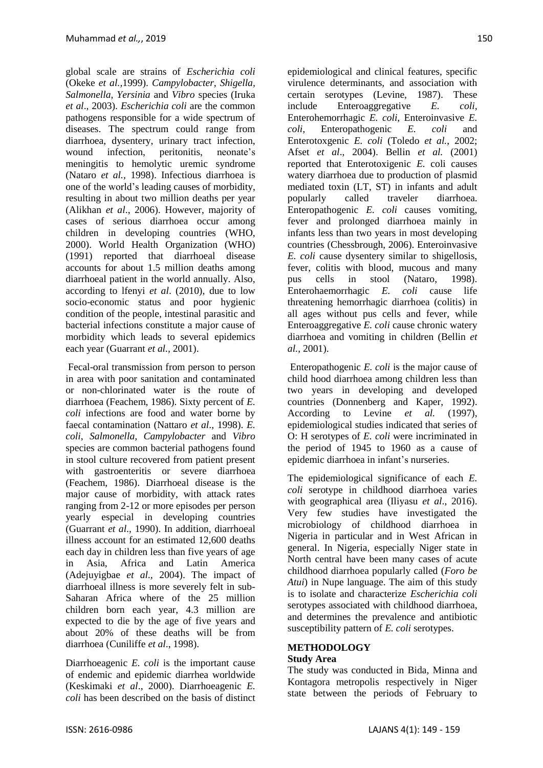global scale are strains of *Escherichia coli*  (Okeke *et al.,*1999). *Campylobacter, Shigella, Salmonella, Yersinia* and *Vibro* species (Iruka *et al*., 2003). *Escherichia coli* are the common pathogens responsible for a wide spectrum of diseases. The spectrum could range from diarrhoea, dysentery, urinary tract infection, wound infection, peritonitis, neonate's meningitis to hemolytic uremic syndrome (Nataro *et al.,* 1998). Infectious diarrhoea is one of the world's leading causes of morbidity, resulting in about two million deaths per year (Alikhan *et al*., 2006). However, majority of cases of serious diarrhoea occur among children in developing countries (WHO, 2000). World Health Organization (WHO) (1991) reported that diarrhoeal disease accounts for about 1.5 million deaths among diarrhoeal patient in the world annually. Also, according to lfenyi *et al*. (2010), due to low socio-economic status and poor hygienic condition of the people, intestinal parasitic and bacterial infections constitute a major cause of morbidity which leads to several epidemics each year (Guarrant *et al.,* 2001).

Fecal-oral transmission from person to person in area with poor sanitation and contaminated or non-chlorinated water is the route of diarrhoea (Feachem, 1986). Sixty percent of *E. coli* infections are food and water borne by faecal contamination (Nattaro *et al*., 1998). *E. coli*, *Salmonella, Campylobacter* and *Vibro* species are common bacterial pathogens found in stool culture recovered from patient present with gastroenteritis or severe diarrhoea (Feachem, 1986). Diarrhoeal disease is the major cause of morbidity, with attack rates ranging from 2-12 or more episodes per person yearly especial in developing countries (Guarrant *et al*., 1990). In addition, diarrhoeal illness account for an estimated 12,600 deaths each day in children less than five years of age in Asia, Africa and Latin America (Adejuyigbae *et al.,* 2004). The impact of diarrhoeal illness is more severely felt in sub-Saharan Africa where of the 25 million children born each year, 4.3 million are expected to die by the age of five years and about 20% of these deaths will be from diarrhoea (Cuniliffe *et al*., 1998).

Diarrhoeagenic *E. coli* is the important cause of endemic and epidemic diarrhea worldwide (Keskimaki *et al*., 2000). Diarrhoeagenic *E. coli* has been described on the basis of distinct

epidemiological and clinical features, specific virulence determinants, and association with certain serotypes (Levine, 1987). These include Enteroaggregative *E. coli,* Enterohemorrhagic *E. coli,* Enteroinvasive *E. coli,* Enteropathogenic *E. coli* and Enterotoxgenic *E. coli* (Toledo *et al.*, 2002; Afset *et al*., 2004). Bellin *et al.* (2001) reported that Enterotoxigenic *E.* coli causes watery diarrhoea due to production of plasmid mediated toxin (LT, ST) in infants and adult popularly called traveler diarrhoea. Enteropathogenic *E. coli* causes vomiting, fever and prolonged diarrhoea mainly in infants less than two years in most developing countries (Chessbrough, 2006). Enteroinvasive *E. coli* cause dysentery similar to shigellosis, fever, colitis with blood, mucous and many pus cells in stool (Nataro, 1998). Enterohaemorrhagic *E. coli* cause life threatening hemorrhagic diarrhoea (colitis) in all ages without pus cells and fever, while Enteroaggregative *E. coli* cause chronic watery diarrhoea and vomiting in children (Bellin *et al.*, 2001).

Enteropathogenic *E. coli* is the major cause of child hood diarrhoea among children less than two years in developing and developed countries (Donnenberg and Kaper, 1992). According to Levine *et al.* (1997), epidemiological studies indicated that series of O: H serotypes of *E. coli* were incriminated in the period of 1945 to 1960 as a cause of epidemic diarrhoea in infant's nurseries.

The epidemiological significance of each *E. coli* serotype in childhood diarrhoea varies with geographical area (Iliyasu *et al*., 2016). Very few studies have investigated the microbiology of childhood diarrhoea in Nigeria in particular and in West African in general. In Nigeria, especially Niger state in North central have been many cases of acute childhood diarrhoea popularly called (*Foro be Atui*) in Nupe language. The aim of this study is to isolate and characterize *Escherichia coli* serotypes associated with childhood diarrhoea, and determines the prevalence and antibiotic susceptibility pattern of *E. coli* serotypes.

### **METHODOLOGY**

#### **Study Area**

The study was conducted in Bida, Minna and Kontagora metropolis respectively in Niger state between the periods of February to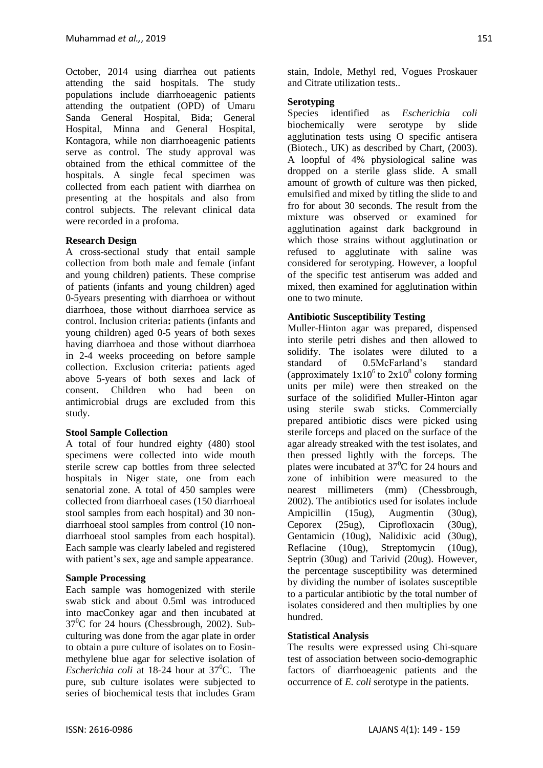October, 2014 using diarrhea out patients attending the said hospitals. The study populations include diarrhoeagenic patients attending the outpatient (OPD) of Umaru Sanda General Hospital, Bida; General Hospital, Minna and General Hospital, Kontagora, while non diarrhoeagenic patients serve as control. The study approval was obtained from the ethical committee of the hospitals. A single fecal specimen was collected from each patient with diarrhea on presenting at the hospitals and also from control subjects. The relevant clinical data were recorded in a profoma.

### **Research Design**

A cross-sectional study that entail sample collection from both male and female (infant and young children) patients. These comprise of patients (infants and young children) aged 0-5years presenting with diarrhoea or without diarrhoea, those without diarrhoea service as control. Inclusion criteria**:** patients (infants and young children) aged 0-5 years of both sexes having diarrhoea and those without diarrhoea in 2-4 weeks proceeding on before sample collection. Exclusion criteria**:** patients aged above 5-years of both sexes and lack of consent. Children who had been on antimicrobial drugs are excluded from this study.

### **Stool Sample Collection**

A total of four hundred eighty (480) stool specimens were collected into wide mouth sterile screw cap bottles from three selected hospitals in Niger state, one from each senatorial zone. A total of 450 samples were collected from diarrhoeal cases (150 diarrhoeal stool samples from each hospital) and 30 nondiarrhoeal stool samples from control (10 nondiarrhoeal stool samples from each hospital). Each sample was clearly labeled and registered with patient's sex, age and sample appearance.

### **Sample Processing**

Each sample was homogenized with sterile swab stick and about 0.5ml was introduced into macConkey agar and then incubated at  $37^{\circ}$ C for 24 hours (Chessbrough, 2002). Subculturing was done from the agar plate in order to obtain a pure culture of isolates on to Eosinmethylene blue agar for selective isolation of *Escherichia coli* at 18-24 hour at  $37^{\circ}$ C. The pure, sub culture isolates were subjected to series of biochemical tests that includes Gram stain, Indole, Methyl red, Vogues Proskauer and Citrate utilization tests..

## **Serotyping**

Species identified as *Escherichia coli* biochemically were serotype by slide agglutination tests using O specific antisera (Biotech., UK) as described by Chart, (2003). A loopful of 4% physiological saline was dropped on a sterile glass slide. A small amount of growth of culture was then picked, emulsified and mixed by titling the slide to and fro for about 30 seconds. The result from the mixture was observed or examined for agglutination against dark background in which those strains without agglutination or refused to agglutinate with saline was considered for serotyping. However, a loopful of the specific test antiserum was added and mixed, then examined for agglutination within one to two minute.

## **Antibiotic Susceptibility Testing**

Muller-Hinton agar was prepared, dispensed into sterile petri dishes and then allowed to solidify. The isolates were diluted to a standard of 0.5McFarland's standard (approximately  $1x10^6$  to  $2x10^8$  colony forming units per mile) were then streaked on the surface of the solidified Muller-Hinton agar using sterile swab sticks. Commercially prepared antibiotic discs were picked using sterile forceps and placed on the surface of the agar already streaked with the test isolates, and then pressed lightly with the forceps. The plates were incubated at  $37^{\circ}$ C for 24 hours and zone of inhibition were measured to the nearest millimeters (mm) (Chessbrough, 2002). The antibiotics used for isolates include Ampicillin (15ug), Augmentin (30ug), Ceporex (25ug), Ciprofloxacin (30ug), Gentamicin (10ug), Nalidixic acid (30ug), Reflacine (10ug), Streptomycin (10ug), Septrin (30ug) and Tarivid (20ug). However, the percentage susceptibility was determined by dividing the number of isolates susceptible to a particular antibiotic by the total number of isolates considered and then multiplies by one hundred.

### **Statistical Analysis**

The results were expressed using Chi-square test of association between socio-demographic factors of diarrhoeagenic patients and the occurrence of *E. coli* serotype in the patients.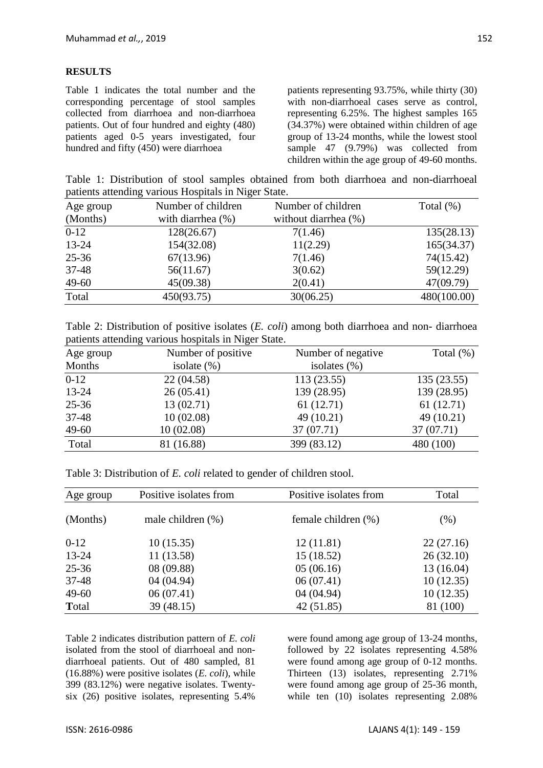#### **RESULTS**

Table 1 indicates the total number and the corresponding percentage of stool samples collected from diarrhoea and non-diarrhoea patients. Out of four hundred and eighty (480) patients aged 0-5 years investigated, four hundred and fifty (450) were diarrhoea

patients representing 93.75%, while thirty (30) with non-diarrhoeal cases serve as control, representing 6.25%. The highest samples 165 (34.37%) were obtained within children of age group of 13-24 months, while the lowest stool sample 47 (9.79%) was collected from children within the age group of 49-60 months.

Table 1: Distribution of stool samples obtained from both diarrhoea and non-diarrhoeal patients attending various Hospitals in Niger State.

| Age group | Number of children   | Number of children   | Total $(\%)$ |  |
|-----------|----------------------|----------------------|--------------|--|
| (Months)  | with diarrhea $(\%)$ | without diarrhea (%) |              |  |
| $0 - 12$  | 128(26.67)           | 7(1.46)              | 135(28.13)   |  |
| 13-24     | 154(32.08)           | 11(2.29)             | 165(34.37)   |  |
| $25 - 36$ | 67(13.96)            | 7(1.46)              | 74(15.42)    |  |
| $37 - 48$ | 56(11.67)            | 3(0.62)              | 59(12.29)    |  |
| 49-60     | 45(09.38)            | 2(0.41)              | 47(09.79)    |  |
| Total     | 450(93.75)           | 30(06.25)            | 480(100.00)  |  |

Table 2: Distribution of positive isolates (*E. coli*) among both diarrhoea and non- diarrhoea patients attending various hospitals in Niger State.

| Age group | Number of positive | Number of negative | Total $(\%)$ |  |
|-----------|--------------------|--------------------|--------------|--|
| Months    | isolate $(\%)$     | isolates $(\%)$    |              |  |
| $0-12$    | 22 (04.58)         | 113(23.55)         | 135(23.55)   |  |
| 13-24     | 26(05.41)          | 139 (28.95)        | 139 (28.95)  |  |
| $25 - 36$ | 13(02.71)          | 61(12.71)          | 61(12.71)    |  |
| $37 - 48$ | 10(02.08)          | 49 (10.21)         | 49 (10.21)   |  |
| 49-60     | 10(02.08)          | 37 (07.71)         | 37 (07.71)   |  |
| Total     | 81 (16.88)         | 399 (83.12)        | 480 (100)    |  |

Table 3: Distribution of *E. coli* related to gender of children stool.

| Age group | Positive isolates from | Positive isolates from | Total      |  |
|-----------|------------------------|------------------------|------------|--|
| (Months)  | male children $(\%)$   | female children $(\%)$ | $(\% )$    |  |
| $0-12$    | 10(15.35)              | 12(11.81)              | 22(27.16)  |  |
| 13-24     | 11(13.58)              | 15(18.52)              | 26(32.10)  |  |
| $25 - 36$ | 08(09.88)              | 05(06.16)              | 13 (16.04) |  |
| $37 - 48$ | 04(04.94)              | 06(07.41)              | 10(12.35)  |  |
| $49 - 60$ | 06(07.41)              | 04 (04.94)             | 10(12.35)  |  |
| Total     | 39(48.15)              | 42(51.85)              | 81 (100)   |  |

Table 2 indicates distribution pattern of *E. coli* isolated from the stool of diarrhoeal and nondiarrhoeal patients. Out of 480 sampled, 81 (16.88%) were positive isolates (*E. coli*), while 399 (83.12%) were negative isolates. Twentysix (26) positive isolates, representing 5.4%

were found among age group of 13-24 months, followed by 22 isolates representing 4.58% were found among age group of 0-12 months. Thirteen (13) isolates, representing 2.71% were found among age group of 25-36 month, while ten  $(10)$  isolates representing 2.08%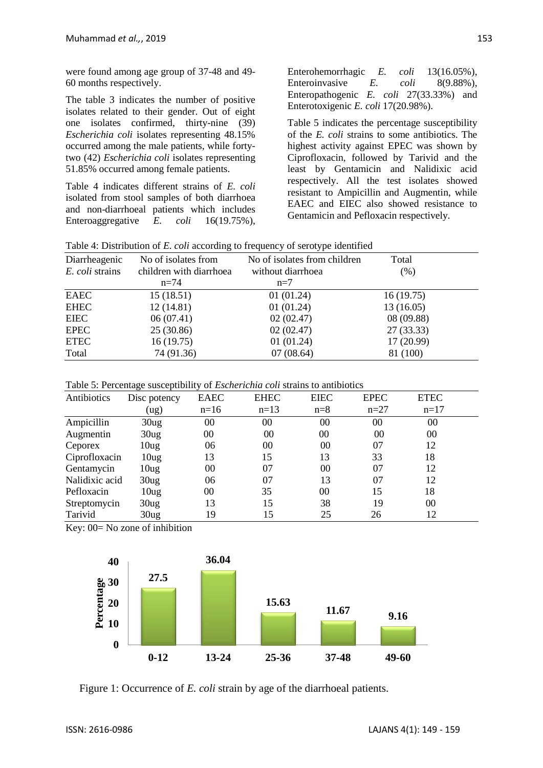were found among age group of 37-48 and 49- 60 months respectively.

The table 3 indicates the number of positive isolates related to their gender. Out of eight one isolates confirmed, thirty-nine (39) *Escherichia coli* isolates representing 48.15% occurred among the male patients, while fortytwo (42) *Escherichia coli* isolates representing 51.85% occurred among female patients.

Table 4 indicates different strains of *E. coli*  isolated from stool samples of both diarrhoea and non-diarrhoeal patients which includes Enteroaggregative *E. coli* 16(19.75%),

Enterohemorrhagic *E. coli* 13(16.05%), Enteroinvasive *E. coli* 8(9.88%), Enteropathogenic *E. coli* 27(33.33%) and Enterotoxigenic *E. coli* 17(20.98%).

Table 5 indicates the percentage susceptibility of the *E. coli* strains to some antibiotics. The highest activity against EPEC was shown by Ciprofloxacin, followed by Tarivid and the least by Gentamicin and Nalidixic acid respectively. All the test isolates showed resistant to Ampicillin and Augmentin, while EAEC and EIEC also showed resistance to Gentamicin and Pefloxacin respectively.

| Table 4: Distribution of E. coli according to frequency of serotype identified |  |  |  |  |
|--------------------------------------------------------------------------------|--|--|--|--|
|--------------------------------------------------------------------------------|--|--|--|--|

| Diarrheagenic<br>E. coli strains | No of isolates from<br>children with diarrhoea<br>$n=74$ | No of isolates from children<br>without diarrhoea<br>$n=7$ | Total<br>(% ) |
|----------------------------------|----------------------------------------------------------|------------------------------------------------------------|---------------|
| EAEC                             | 15(18.51)                                                | 01(01.24)                                                  | 16(19.75)     |
| <b>EHEC</b>                      | 12(14.81)                                                | 01(01.24)                                                  | 13(16.05)     |
| <b>EIEC</b>                      | 06(07.41)                                                | 02(02.47)                                                  | 08 (09.88)    |
| <b>EPEC</b>                      | 25(30.86)                                                | 02(02.47)                                                  | 27(33.33)     |
| <b>ETEC</b>                      | 16(19.75)                                                | 01(01.24)                                                  | 17(20.99)     |
| Total                            | 74 (91.36)                                               | 07(08.64)                                                  | 81 (100)      |

Table 5: Percentage susceptibility of *Escherichia coli* strains to antibiotics

| Antibiotics    | Disc potency     | <b>EAEC</b> | <b>EHEC</b> | <b>EIEC</b>    | <b>EPEC</b> | <b>ETEC</b> |  |
|----------------|------------------|-------------|-------------|----------------|-------------|-------------|--|
|                | (ug)             | $n=16$      | $n=13$      | $n=8$          | $n=27$      | $n=17$      |  |
| Ampicillin     | 30 <sub>ug</sub> | $00\,$      | $00\,$      | 0 <sub>0</sub> | 00          | 00          |  |
| Augmentin      | 30 <sub>ug</sub> | 00          | 00          | 00             | 00          | 00          |  |
| Ceporex        | 10 <sub>ug</sub> | 06          | $00\,$      | 0 <sup>0</sup> | 07          | 12          |  |
| Ciprofloxacin  | 10 <sub>ug</sub> | 13          | 15          | 13             | 33          | 18          |  |
| Gentamycin     | 10 <sub>ug</sub> | 00          | 07          | 00             | 07          | 12          |  |
| Nalidixic acid | 30 <sub>ug</sub> | 06          | 07          | 13             | 07          | 12          |  |
| Pefloxacin     | 10 <sub>ug</sub> | 00          | 35          | 00             | 15          | 18          |  |
| Streptomycin   | 30 <sub>ug</sub> | 13          | 15          | 38             | 19          | 00          |  |
| Tarivid        | 30 <sub>ug</sub> | 19          | 15          | 25             | 26          | 12          |  |

Key:  $00=$  No zone of inhibition



Figure 1: Occurrence of *E. coli* strain by age of the diarrhoeal patients.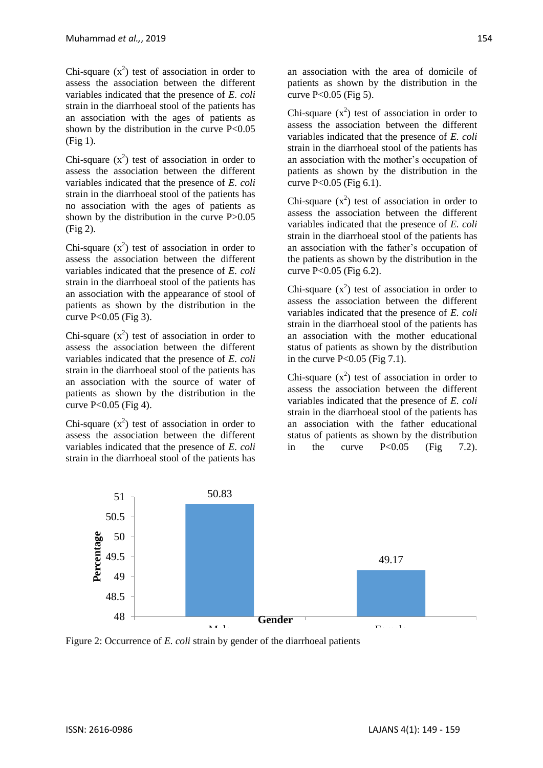Chi-square  $(x^2)$  test of association in order to assess the association between the different variables indicated that the presence of *E. coli* strain in the diarrhoeal stool of the patients has an association with the ages of patients as shown by the distribution in the curve P<0.05 (Fig 1).

Chi-square  $(x^2)$  test of association in order to assess the association between the different variables indicated that the presence of *E. coli* strain in the diarrhoeal stool of the patients has no association with the ages of patients as shown by the distribution in the curve P>0.05 (Fig 2).

Chi-square  $(x^2)$  test of association in order to assess the association between the different variables indicated that the presence of *E. coli* strain in the diarrhoeal stool of the patients has an association with the appearance of stool of patients as shown by the distribution in the curve  $P < 0.05$  (Fig 3).

Chi-square  $(x^2)$  test of association in order to assess the association between the different variables indicated that the presence of *E. coli* strain in the diarrhoeal stool of the patients has an association with the source of water of patients as shown by the distribution in the curve  $P < 0.05$  (Fig 4).

Chi-square  $(x^2)$  test of association in order to assess the association between the different variables indicated that the presence of *E. coli* strain in the diarrhoeal stool of the patients has

an association with the area of domicile of patients as shown by the distribution in the curve  $P<0.05$  (Fig 5).

Chi-square  $(x^2)$  test of association in order to assess the association between the different variables indicated that the presence of *E. coli* strain in the diarrhoeal stool of the patients has an association with the mother's occupation of patients as shown by the distribution in the curve P<0.05 (Fig 6.1).

Chi-square  $(x^2)$  test of association in order to assess the association between the different variables indicated that the presence of *E. coli* strain in the diarrhoeal stool of the patients has an association with the father's occupation of the patients as shown by the distribution in the curve  $P < 0.05$  (Fig 6.2).

Chi-square  $(x^2)$  test of association in order to assess the association between the different variables indicated that the presence of *E. coli* strain in the diarrhoeal stool of the patients has an association with the mother educational status of patients as shown by the distribution in the curve  $P < 0.05$  (Fig 7.1).

Chi-square  $(x^2)$  test of association in order to assess the association between the different variables indicated that the presence of *E. coli* strain in the diarrhoeal stool of the patients has an association with the father educational status of patients as shown by the distribution in the curve  $P<0.05$  (Fig 7.2).



Figure 2: Occurrence of *E. coli* strain by gender of the diarrhoeal patients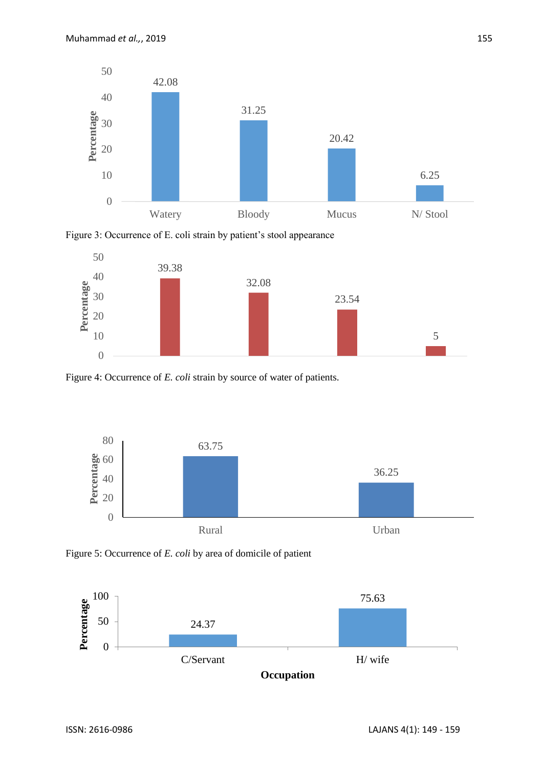

Figure 3: Occurrence of E. coli strain by patient's stool appearance



Figure 4: Occurrence of *E. coli* strain by source of water of patients.



Figure 5: Occurrence of *E. coli* by area of domicile of patient

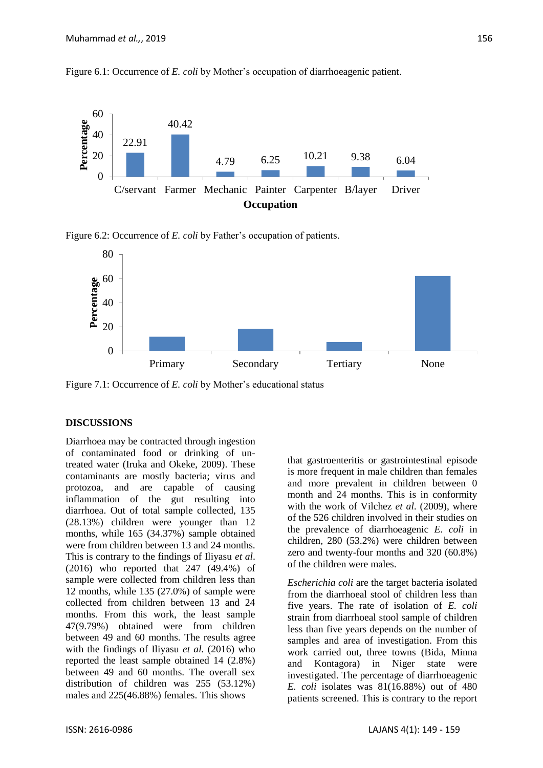Figure 6.1: Occurrence of *E. coli* by Mother's occupation of diarrhoeagenic patient.



Figure 6.2: Occurrence of *E. coli* by Father's occupation of patients.



Figure 7.1: Occurrence of *E. coli* by Mother's educational status

#### **DISCUSSIONS**

Diarrhoea may be contracted through ingestion of contaminated food or drinking of untreated water (Iruka and Okeke, 2009). These contaminants are mostly bacteria; virus and protozoa, and are capable of causing inflammation of the gut resulting into diarrhoea. Out of total sample collected, 135 (28.13%) children were younger than 12 months, while 165 (34.37%) sample obtained were from children between 13 and 24 months. This is contrary to the findings of Iliyasu *et al*. (2016) who reported that 247 (49.4%) of sample were collected from children less than 12 months, while 135 (27.0%) of sample were collected from children between 13 and 24 months. From this work, the least sample 47(9.79%) obtained were from children between 49 and 60 months. The results agree with the findings of Iliyasu *et al.* (2016) who reported the least sample obtained 14 (2.8%) between 49 and 60 months. The overall sex distribution of children was 255 (53.12%) males and 225(46.88%) females. This shows

that gastroenteritis or gastrointestinal episode is more frequent in male children than females and more prevalent in children between 0 month and 24 months. This is in conformity with the work of Vilchez *et al*. (2009), where of the 526 children involved in their studies on the prevalence of diarrhoeagenic *E. coli* in children, 280 (53.2%) were children between zero and twenty-four months and 320 (60.8%) of the children were males.

*Escherichia coli* are the target bacteria isolated from the diarrhoeal stool of children less than five years. The rate of isolation of *E. coli* strain from diarrhoeal stool sample of children less than five years depends on the number of samples and area of investigation. From this work carried out, three towns (Bida, Minna and Kontagora) in Niger state were investigated. The percentage of diarrhoeagenic *E. coli* isolates was 81(16.88%) out of 480 patients screened. This is contrary to the report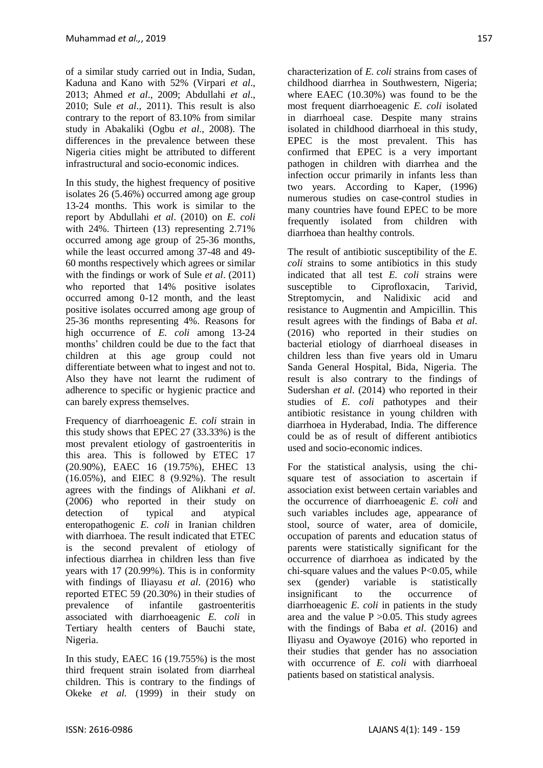of a similar study carried out in India, Sudan, Kaduna and Kano with 52% (Virpari *et al*., 2013; Ahmed *et al*., 2009; Abdullahi *et al*., 2010; Sule *et al*., 2011). This result is also contrary to the report of 83.10% from similar study in Abakaliki (Ogbu *et al*., 2008). The differences in the prevalence between these Nigeria cities might be attributed to different infrastructural and socio-economic indices.

In this study, the highest frequency of positive isolates 26 (5.46%) occurred among age group 13-24 months. This work is similar to the report by Abdullahi *et al*. (2010) on *E. coli*  with 24%. Thirteen (13) representing 2.71% occurred among age group of 25-36 months, while the least occurred among 37-48 and 49- 60 months respectively which agrees or similar with the findings or work of Sule *et al*. (2011) who reported that 14% positive isolates occurred among 0-12 month, and the least positive isolates occurred among age group of 25-36 months representing 4%. Reasons for high occurrence of *E. coli* among 13-24 months' children could be due to the fact that children at this age group could not differentiate between what to ingest and not to. Also they have not learnt the rudiment of adherence to specific or hygienic practice and can barely express themselves.

Frequency of diarrhoeagenic *E. coli* strain in this study shows that EPEC 27 (33.33%) is the most prevalent etiology of gastroenteritis in this area. This is followed by ETEC 17 (20.90%), EAEC 16 (19.75%), EHEC 13 (16.05%), and EIEC 8 (9.92%). The result agrees with the findings of Alikhani *et al*. (2006) who reported in their study on detection of typical and atypical enteropathogenic *E. coli* in Iranian children with diarrhoea. The result indicated that ETEC is the second prevalent of etiology of infectious diarrhea in children less than five years with 17 (20.99%). This is in conformity with findings of Iliayasu *et al*. (2016) who reported ETEC 59 (20.30%) in their studies of prevalence of infantile gastroenteritis associated with diarrhoeagenic *E. coli* in Tertiary health centers of Bauchi state, Nigeria.

In this study, EAEC 16 (19.755%) is the most third frequent strain isolated from diarrheal children. This is contrary to the findings of Okeke *et al.* (1999) in their study on characterization of *E. coli* strains from cases of childhood diarrhea in Southwestern, Nigeria; where EAEC (10.30%) was found to be the most frequent diarrhoeagenic *E. coli* isolated in diarrhoeal case. Despite many strains isolated in childhood diarrhoeal in this study, EPEC is the most prevalent. This has confirmed that EPEC is a very important pathogen in children with diarrhea and the infection occur primarily in infants less than two years. According to Kaper, (1996) numerous studies on case-control studies in many countries have found EPEC to be more frequently isolated from children with diarrhoea than healthy controls.

The result of antibiotic susceptibility of the *E. coli* strains to some antibiotics in this study indicated that all test *E. coli* strains were susceptible to Ciprofloxacin. Tarivid, Streptomycin, and Nalidixic acid and resistance to Augmentin and Ampicillin. This result agrees with the findings of Baba *et al*. (2016) who reported in their studies on bacterial etiology of diarrhoeal diseases in children less than five years old in Umaru Sanda General Hospital, Bida, Nigeria. The result is also contrary to the findings of Sudershan *et al*. (2014) who reported in their studies of *E. coli* pathotypes and their antibiotic resistance in young children with diarrhoea in Hyderabad, India. The difference could be as of result of different antibiotics used and socio-economic indices.

For the statistical analysis, using the chisquare test of association to ascertain if association exist between certain variables and the occurrence of diarrhoeagenic *E. coli* and such variables includes age, appearance of stool, source of water, area of domicile, occupation of parents and education status of parents were statistically significant for the occurrence of diarrhoea as indicated by the chi-square values and the values  $P<0.05$ , while sex (gender) variable is statistically insignificant to the occurrence of diarrhoeagenic *E. coli* in patients in the study area and the value  $P > 0.05$ . This study agrees with the findings of Baba *et al*. (2016) and Iliyasu and Oyawoye (2016) who reported in their studies that gender has no association with occurrence of *E. coli* with diarrhoeal patients based on statistical analysis.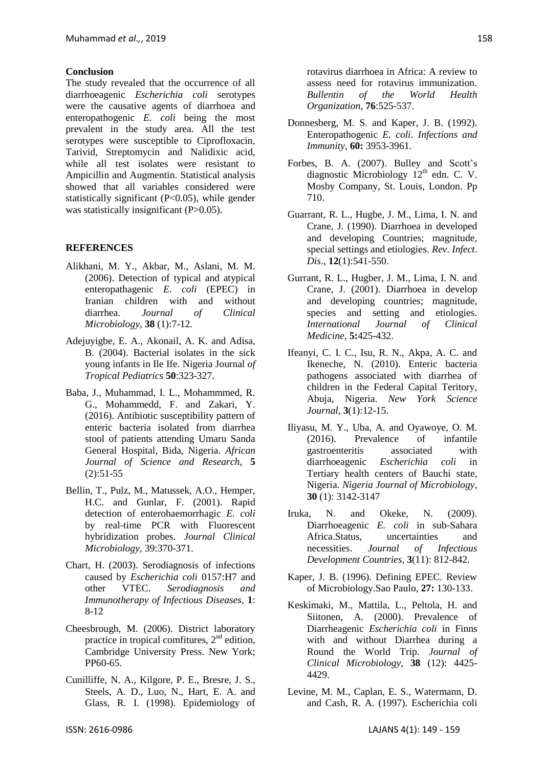#### **Conclusion**

The study revealed that the occurrence of all diarrhoeagenic *Escherichia coli* serotypes were the causative agents of diarrhoea and enteropathogenic *E. coli* being the most prevalent in the study area. All the test serotypes were susceptible to Ciprofloxacin, Tarivid, Streptomycin and Nalidixic acid, while all test isolates were resistant to Ampicillin and Augmentin. Statistical analysis showed that all variables considered were statistically significant  $(P<0.05)$ , while gender was statistically insignificant (P>0.05).

#### **REFERENCES**

- Alikhani, M. Y., Akbar, M., Aslani, M. M. (2006). Detection of typical and atypical enteropathagenic *E. coli* (EPEC) in Iranian children with and without diarrhea. *Journal of Clinical Microbiology*, **38** (1):7-12.
- Adejuyigbe, E. A., Akonail, A. K. and Adisa, B. (2004). Bacterial isolates in the sick young infants in Ile Ife. Nigeria Journal *of Tropical Pediatrics* **50**:323-327.
- Baba, J., Muhammad, I. L., Mohammmed, R. G., Mohammedd, F. and Zakari, Y. (2016). Antibiotic susceptibility pattern of enteric bacteria isolated from diarrhea stool of patients attending Umaru Sanda General Hospital, Bida, Nigeria. *African Journal of Science and Research*, **5** (2):51-55
- Bellin, T., Pulz, M., Matussek, A.O., Hemper, H.C. and Gunlar, F. (2001). Rapid detection of enterohaemorrhagic *E. coli* by real-time PCR with Fluorescent hybridization probes. *Journal Clinical Microbiology,* 39:370-371.
- Chart, H. (2003). Serodiagnosis of infections caused by *Escherichia coli* 0157:H7 and other VTEC. *Serodiagnosis and Immunotherapy of Infectious Diseases,* **1**: 8-12
- Cheesbrough, M. (2006). District laboratory practice in tropical comfitures,  $2<sup>nd</sup>$  edition, Cambridge University Press. New York; PP60-65.
- Cunilliffe, N. A., Kilgore, P. E., Bresre, J. S., Steels, A. D., Luo, N., Hart, E. A. and Glass, R. I. (1998). Epidemiology of

rotavirus diarrhoea in Africa: A review to assess need for rotavirus immunization. *Bullentin of the World Health Organization,* **76**:525-537.

- Donnesberg, M. S. and Kaper, J. B. (1992). Enteropathogenic *E. coli*. *Infections and Immunity*, **60:** 3953-3961.
- Forbes, B. A. (2007). Bulley and Scott's diagnostic Microbiology  $12<sup>th</sup>$  edn. C. V. Mosby Company, St. Louis, London. Pp 710.
- Guarrant, R. L., Hugbe, J. M., Lima, I. N. and Crane, J. (1990). Diarrhoea in developed and developing Countries; magnitude, special settings and etiologies. *Rev*. *Infect*. *Dis*., **12**(1):541-550.
- Gurrant, R. L., Hugber, J. M., Lima, I. N. and Crane, J. (2001). Diarrhoea in develop and developing countries; magnitude, species and setting and etiologies. *International Journal of Clinical Medicine,* **5:**425-432.
- Ifeanyi, C. I. C., Isu, R. N., Akpa, A. C. and Ikeneche, N. (2010). Enteric bacteria pathogens associated with diarrhea of children in the Federal Capital Teritory, Abuja, Nigeria. *New York Science Journal,* **3**(1):12-15.
- Iliyasu, M. Y., Uba, A. and Oyawoye, O. M. (2016). Prevalence of infantile gastroenteritis associated with diarrhoeagenic *Escherichia coli* in Tertiary health centers of Bauchi state, Nigeria. *Nigeria Journal of Microbiology*, **30** (1): 3142-3147
- Iruka, N. and Okeke, N. (2009). Diarrhoeagenic *E. coli* in sub-Sahara Africa.Status, uncertainties and necessities. *Journal of Infectious Development Countries*, **3**(11): 812-842.
- Kaper, J. B. (1996). Defining EPEC. Review of Microbiology.Sao Paulo, **27:** 130-133.
- Keskimaki, M., Mattila, L., Peltola, H. and Siitonen, A. (2000). Prevalence of Diarrheagenic *Escherichia coli* in Finns with and without Diarrhea during a Round the World Trip. *Journal of Clinical Microbiology*, **38** (12): 4425- 4429.
- Levine, M. M., Caplan, E. S., Watermann, D. and Cash, R. A. (1997). Escherichia coli